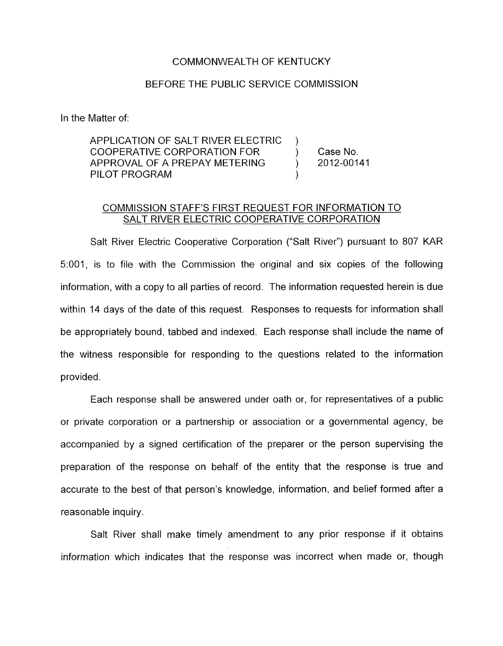## COMMONWEALTH OF KENTUCKY

## BEFORE THE PUBLIC SERVICE COMMISSION

In the Matter of:

APPLICATION OF SALT RIVER ELECTRIC COOPERATIVE CORPORATION FOR (ase No.<br>APPROVAL OF A PREPAY METERING (approval 2012-00141) PILOT PROGRAM (2008) APPROVAL OF A PREPAY METERING )

 $\left| \right\rangle$ 

## COMMISSION STAFF'S FIRST REQUEST FOR INFORMATION TO SALT RIVER ELECTRIC COOPERATIVE CORPORATION

Salt River Electric Cooperative Corporation ("Salt River") pursuant to 807 KAR 5:001, is to file with the Commission the original and six copies of the following information, with a copy to all parties of record. The information requested herein is due within 14 days of the date of this request. Responses to requests for information shall be appropriately bound, tabbed and indexed. Each response shall include the name of the witness responsible for responding to the questions related to the information provided.

Each response shall be answered under oath or, for representatives of a public or private corporation or a partnership or association or a governmental agency, be accompanied by a signed certification of the preparer or the person supervising the preparation of the response on behalf of the entity that the response is true and accurate to the best of that person's knowledge, information, and belief formed after a reasonable inquiry.

Salt River shall make timely amendment to any prior response if it obtains information which indicates that the response was incorrect when made or, though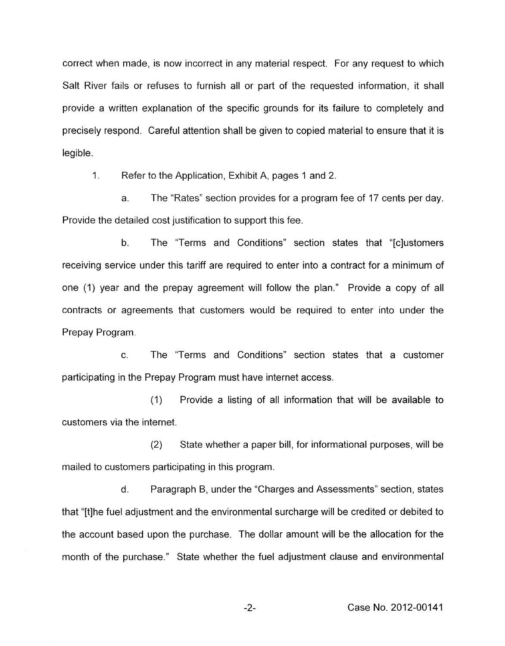correct when made, is now incorrect in any material respect. For any request to which Salt River fails or refuses to furnish all or part of the requested information, it shall provide a written explanation of the specific grounds for its failure to completely and precisely respond. Careful attention shall be given to copied material to ensure that it is legible.

1. Refer to the Application, Exhibit A, pages 1 and 2.

a. The "Rates" section provides for a program fee of 17 cents per day. Provide the detailed cost justification to support this fee.

b. The "Terms and Conditions" section states that "[c]ustomers receiving service under this tariff are required to enter into a contract for a minimum of one (1) year and the prepay agreement will follow the plan." Provide a copy of all contracts or agreements that customers would be required to enter into under the Prepay Program.

C. The "Terms and Conditions" section states that a customer participating in the Prepay Program must have internet access.

(1) Provide a listing of all information that will be available to customers via the internet.

(2) State whether a paper bill, for informational purposes, will be mailed to customers participating in this program.

d. Paragraph B, under the "Charges and Assessments" section, states that "[tlhe fuel adjustment and the environmental surcharge will be credited or debited to the account based upon the purchase. The dollar amount will be the allocation for the month of the purchase." State whether the fuel adjustment clause and environmental

-2- Case No. 2012-00141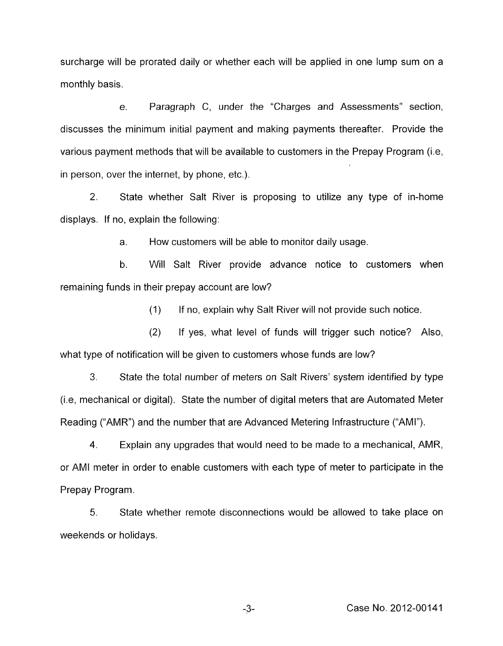surcharge will be prorated daily or whether each will be applied in one lump sum on a monthly basis.

e. Paragraph C, under the "Charges and Assessments" section, discusses the minimum initial payment and making payments thereafter. Provide the various payment methods that will be available to customers in the Prepay Program (i.e, in person, over the internet, by phone, etc.).

2. displays. If no, explain the following: State whether Salt River is proposing to utilize any type of in-home

> a. How customers will be able to monitor daily usage.

b. Will Salt River provide advance notice to customers when remaining funds in their prepay account are low?

> (1) If no, explain why Salt River will not provide such notice.

(2) If yes, what level of funds will trigger such notice? Also, what type of notification will be given to customers whose funds are low?

**3.** State the total number of meters on Salt Rivers' system identified by type (Le, mechanical or digital). State the number of digital meters that are Automated Meter Reading ("AMR") and the number that are Advanced Metering Infrastructure ("AMI").

4. Explain any upgrades that would need to be made to a mechanical, AMR, or AMI meter in order to enable customers with each type of meter to participate in the Prepay Program.

5. State whether remote disconnections would be allowed to take place on weekends or holidays.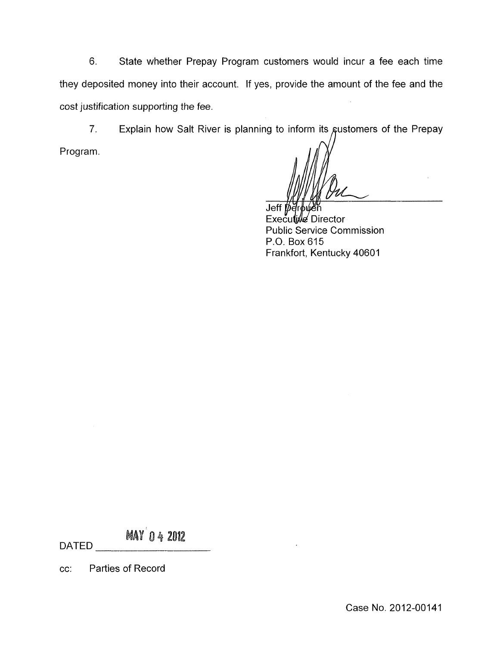6. State whether Prepay Program customers would incur a fee each time they deposited money into their account. If yes, provide the amount of the fee and the cost justification supporting the fee.

7. Explain how Salt River is planning to inform its gustomers of the Prepay

Program.

Jeff  $b\epsilon$ 

Executive Director Public Service Commission P.O. Box 615 Frankfort, Kentucky 40601

**MAY 04 2012** 

DATED

cc: Parties of Record